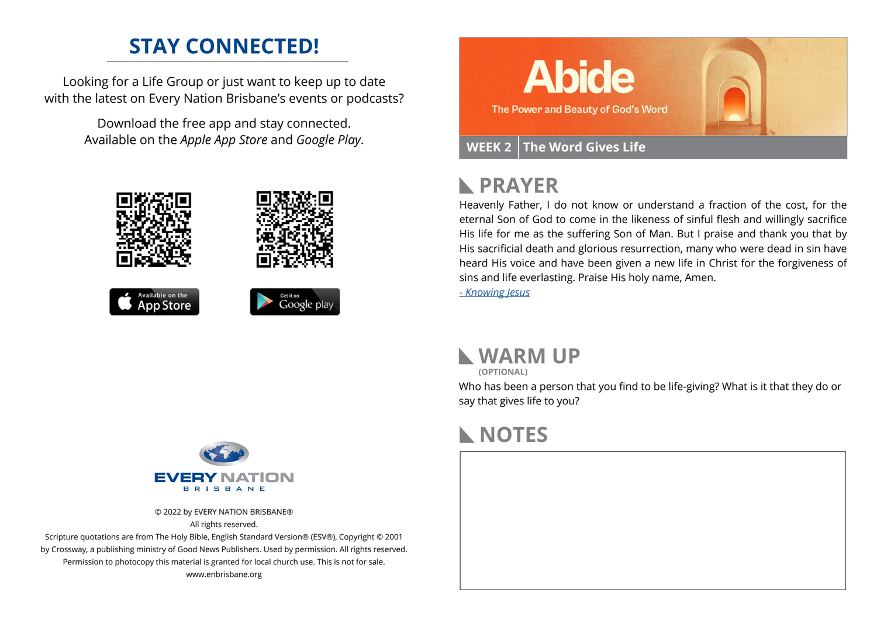## **STAY CONNECTED!**

Looking for a Life Group or just want to keep up to date with the latest on Every Nation Brisbane's events or podcasts?

> Download the free app and stay connected. Available on the *Apple App Store* and *Google Play*.











### **PRAYER**  $\mathbb{R}$

Heavenly Father, I do not know or understand a fraction of the cost, for the eternal Son of God to come in the likeness of sinful flesh and willingly sacrifice His life for me as the suffering Son of Man. But I praise and thank you that by His sacrificial death and glorious resurrection, many who were dead in sin have heard His voice and have been given a new life in Christ for the forgiveness of sins and life everlasting. Praise His holy name, Amen.

*[- Knowing Jesus](https://prayer.knowing-jesus.com/John/5)*

### **WARM UP**

**(OPTIONAL)**

Who has been a person that you find to be life-giving? What is it that they do or say that gives life to you?

# **NOTES**



© 2022 by EVERY NATION BRISBANE® All rights reserved.

Scripture quotations are from The Holy Bible, English Standard Version® (ESV®), Copyright © 2001 by Crossway, a publishing ministry of Good News Publishers. Used by permission. All rights reserved. Permission to photocopy this material is granted for local church use. This is not for sale. www.enbrisbane.org